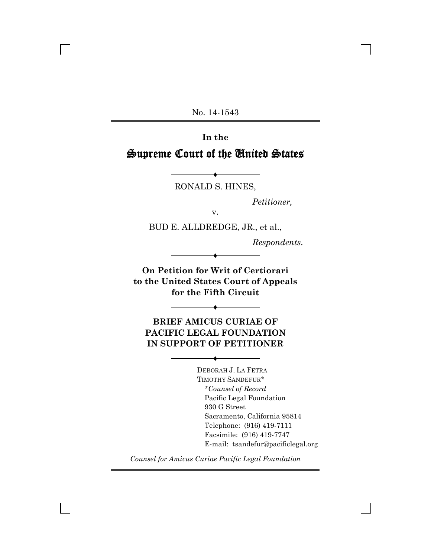No. 14-1543

**In the** Supreme Court of the United States

> Ë RONALD S. HINES,

> > *Petitioner,*

v.

BUD E. ALLDREDGE, JR., et al.,

*Respondents.*

**On Petition for Writ of Certiorari to the United States Court of Appeals for the Fifth Circuit**

Ë

**BRIEF AMICUS CURIAE OF PACIFIC LEGAL FOUNDATION IN SUPPORT OF PETITIONER**

Ë

Ë

DEBORAH J. LA FETRA TIMOTHY SANDEFUR\* \**Counsel of Record* Pacific Legal Foundation 930 G Street Sacramento, California 95814 Telephone: (916) 419-7111 Facsimile: (916) 419-7747 E-mail: tsandefur@pacificlegal.org

*Counsel for Amicus Curiae Pacific Legal Foundation*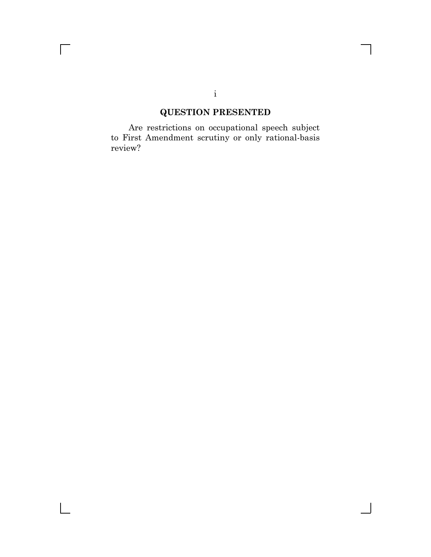# **QUESTION PRESENTED**

Are restrictions on occupational speech subject to First Amendment scrutiny or only rational-basis review?

 $\overline{\Gamma}$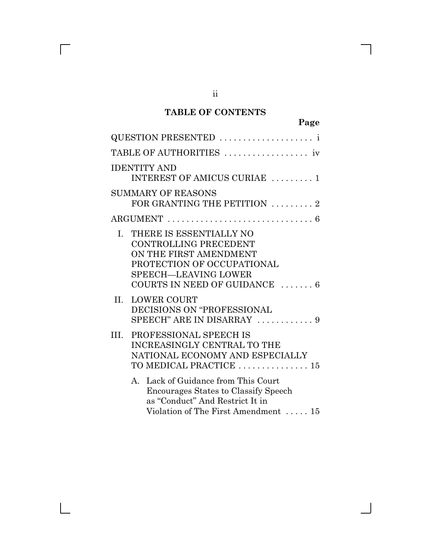### **TABLE OF CONTENTS**

| QUESTION PRESENTED                                                                                                                                                      |
|-------------------------------------------------------------------------------------------------------------------------------------------------------------------------|
| TABLE OF AUTHORITIES                                                                                                                                                    |
| <b>IDENTITY AND</b><br>INTEREST OF AMICUS CURIAE  1                                                                                                                     |
| <b>SUMMARY OF REASONS</b><br>FOR GRANTING THE PETITION $\ldots \ldots \ldots$                                                                                           |
|                                                                                                                                                                         |
| THERE IS ESSENTIALLY NO<br>L.<br>CONTROLLING PRECEDENT<br>ON THE FIRST AMENDMENT<br>PROTECTION OF OCCUPATIONAL<br>SPEECH-LEAVING LOWER<br>COURTS IN NEED OF GUIDANCE  6 |
| II.<br><b>LOWER COURT</b><br>DECISIONS ON "PROFESSIONAL<br>SPEECH" ARE IN DISARRAY  9                                                                                   |
| PROFESSIONAL SPEECH IS<br>HL.<br><b>INCREASINGLY CENTRAL TO THE</b><br>NATIONAL ECONOMY AND ESPECIALLY<br>TO MEDICAL PRACTICE  15                                       |
| A. Lack of Guidance from This Court<br>Encourages States to Classify Speech<br>as "Conduct" And Restrict It in<br>Violation of The First Amendment  15                  |

 $\Box$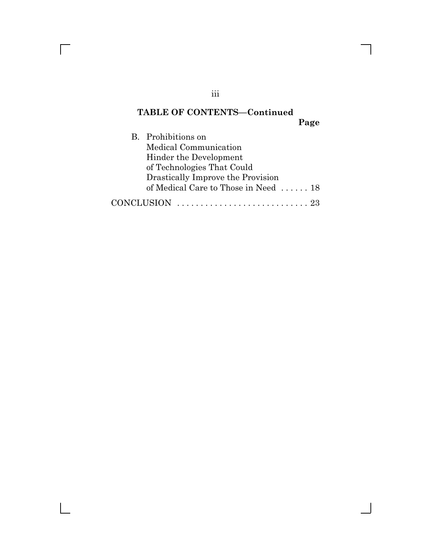# **TABLE OF CONTENTS—Continued**

**Page**

| B. Prohibitions on                   |
|--------------------------------------|
| Medical Communication                |
| Hinder the Development               |
| of Technologies That Could           |
| Drastically Improve the Provision    |
| of Medical Care to Those in Need  18 |
|                                      |

iii

 $\overline{\Gamma}$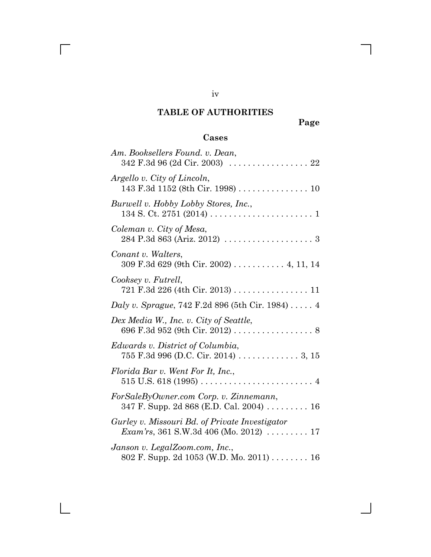### **TABLE OF AUTHORITIES**

**Page**

# **Cases**

| Am. Booksellers Found. v. Dean,                                                                                        |
|------------------------------------------------------------------------------------------------------------------------|
| Argello v. City of Lincoln,<br>143 F.3d 1152 (8th Cir. 1998) 10                                                        |
| Burwell v. Hobby Lobby Stores, Inc.,                                                                                   |
| Coleman v. City of Mesa,                                                                                               |
| Conant v. Walters,<br>309 F.3d 629 (9th Cir. 2002) 4, 11, 14                                                           |
| Cooksey v. Futrell,<br>721 F.3d 226 (4th Cir. 2013) 11                                                                 |
| Daly v. Sprague, $742$ F.2d 896 (5th Cir. 1984) 4                                                                      |
| Dex Media W., Inc. v. City of Seattle,<br>696 F.3d 952 (9th Cir. 2012) 8                                               |
| Edwards v. District of Columbia,<br>755 F.3d 996 (D.C. Cir. 2014) 3, 15                                                |
| Florida Bar v. Went For It, Inc.,                                                                                      |
| ForSaleByOwner.com Corp. v. Zinnemann,<br>347 F. Supp. 2d 868 (E.D. Cal. 2004) 16                                      |
| Gurley v. Missouri Bd. of Private Investigator<br><i>Exam'rs</i> , 361 S.W.3d 406 (Mo. 2012) $\ldots \ldots \ldots 17$ |
| Janson v. LegalZoom.com, Inc.,<br>802 F. Supp. 2d 1053 (W.D. Mo. 2011) 16                                              |

iv

 $\overline{\Gamma}$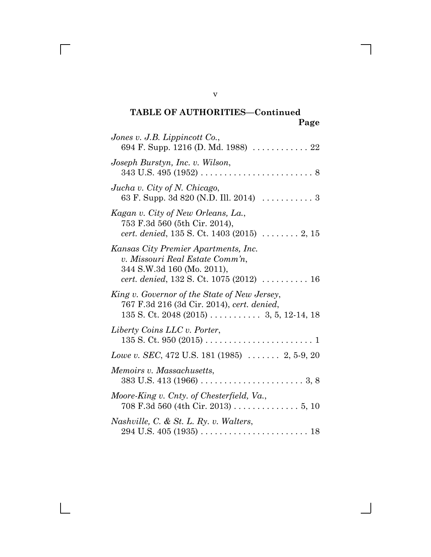| Jones v. J.B. Lippincott Co.,<br>694 F. Supp. 1216 (D. Md. 1988)  22                                                                                 |
|------------------------------------------------------------------------------------------------------------------------------------------------------|
| Joseph Burstyn, Inc. v. Wilson,<br>$343 \text{ U.S. } 495 \left(1952\right) \ldots \ldots \ldots \ldots \ldots \ldots \ldots \ldots \, 8$            |
| Jucha v. City of N. Chicago,                                                                                                                         |
| Kagan v. City of New Orleans, La.,<br>753 F.3d 560 (5th Cir. 2014),<br><i>cert. denied</i> , $135$ S. Ct. $1403$ (2015) $\ldots \ldots \ldots$ 2, 15 |
| Kansas City Premier Apartments, Inc.<br>v. Missouri Real Estate Comm'n,<br>344 S.W.3d 160 (Mo. 2011),                                                |
| King v. Governor of the State of New Jersey,<br>767 F.3d 216 (3d Cir. 2014), cert. denied,                                                           |
| Liberty Coins LLC v. Porter,                                                                                                                         |
| Lowe v. SEC, 472 U.S. 181 (1985) $\ldots$ 2, 5-9, 20                                                                                                 |
| Memoirs v. Massachusetts,                                                                                                                            |
| Moore-King v. Cnty. of Chesterfield, Va.,<br>708 F.3d 560 (4th Cir. 2013) 5, 10                                                                      |
| Nashville, C. & St. L. Ry. v. Walters,                                                                                                               |

v

 $\overline{\Gamma}$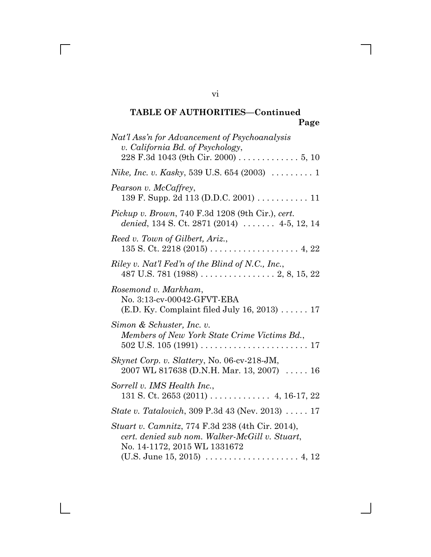| Nat'l Ass'n for Advancement of Psychoanalysis<br>v. California Bd. of Psychology,<br>228 F.3d 1043 (9th Cir. 2000) 5, 10           |
|------------------------------------------------------------------------------------------------------------------------------------|
| <i>Nike, Inc. v. Kasky</i> , 539 U.S. 654 (2003) $\ldots \ldots \ldots 1$                                                          |
| Pearson v. McCaffrey,<br>139 F. Supp. 2d 113 (D.D.C. 2001) 11                                                                      |
| Pickup v. Brown, 740 F.3d 1208 (9th Cir.), cert.<br>denied, 134 S. Ct. 2871 (2014)  4-5, 12, 14                                    |
| Reed v. Town of Gilbert, Ariz.,                                                                                                    |
| Riley v. Nat'l Fed'n of the Blind of N.C., Inc.,                                                                                   |
| Rosemond v. Markham,<br>No. 3:13-cv-00042-GFVT-EBA<br>$(E.D. Ky. Complaint filed July 16, 2013) \ldots 17$                         |
| Simon & Schuster, Inc. v.<br>Members of New York State Crime Victims Bd.,                                                          |
| Skynet Corp. v. Slattery, No. 06-cv-218-JM,<br>2007 WL 817638 (D.N.H. Mar. 13, 2007)  16                                           |
| Sorrell v. IMS Health Inc.,<br>131 S. Ct. 2653 (2011) $\ldots$ 4, 16-17, 22                                                        |
| <i>State v. Tatalovich</i> , 309 P.3d 43 (Nev. 2013) 17                                                                            |
| Stuart v. Camnitz, 774 F.3d 238 (4th Cir. 2014),<br>cert. denied sub nom. Walker-McGill v. Stuart,<br>No. 14-1172, 2015 WL 1331672 |
|                                                                                                                                    |

vi

 $\overline{\Gamma}$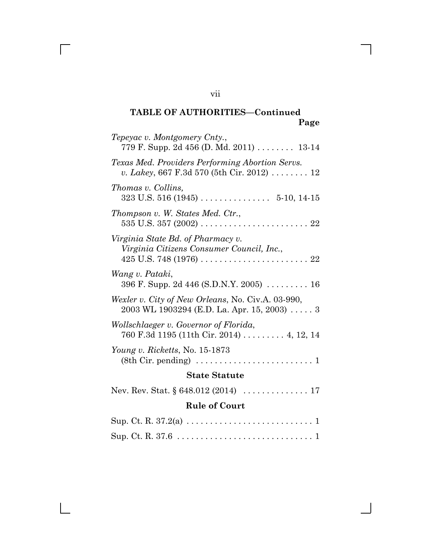| Tepeyac v. Montgomery Cnty.,<br>779 F. Supp. 2d 456 (D. Md. 2011)  13-14                                      |
|---------------------------------------------------------------------------------------------------------------|
| Texas Med. Providers Performing Abortion Servs.<br>v. Lakey, 667 F.3d 570 (5th Cir. 2012)  12                 |
| Thomas v. Collins,                                                                                            |
| Thompson v. W. States Med. Ctr.,                                                                              |
| Virginia State Bd. of Pharmacy v.<br>Virginia Citizens Consumer Council, Inc.,                                |
| Wang v. Pataki,<br>396 F. Supp. 2d 446 (S.D.N.Y. 2005) $\dots \dots \dots 16$                                 |
| Wexler v. City of New Orleans, No. Civ.A. 03-990,<br>$2003$ WL 1903294 (E.D. La. Apr. 15, 2003)  3            |
| Wollschlaeger v. Governor of Florida,<br>760 F.3d 1195 (11th Cir. 2014)  4, 12, 14                            |
| Young v. Ricketts, No. $15-1873$<br>$(8th Cir. pending) \dots \dots \dots \dots \dots \dots \dots \dots$<br>1 |
| <b>State Statute</b>                                                                                          |
| Nev. Rev. Stat. $\S 648.012 (2014) \ldots \ldots \ldots \ldots 17$                                            |
| <b>Rule of Court</b>                                                                                          |

vii

 $\overline{\Gamma}$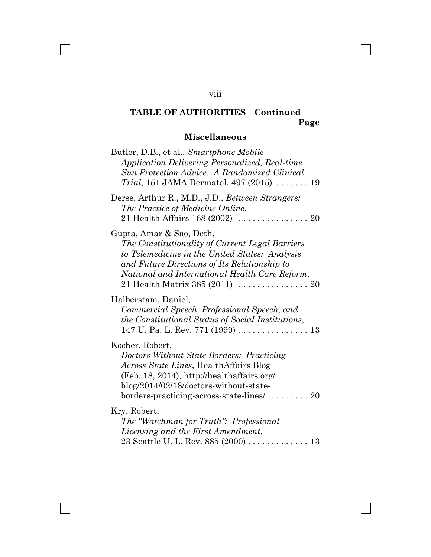# **Miscellaneous**

| Butler, D.B., et al., Smartphone Mobile<br>Application Delivering Personalized, Real-time<br><b>Sun Protection Advice: A Randomized Clinical</b><br><i>Trial</i> , 151 JAMA Dermatol. 497 (2015) $\ldots \ldots$ 19                                                 |
|---------------------------------------------------------------------------------------------------------------------------------------------------------------------------------------------------------------------------------------------------------------------|
| Derse, Arthur R., M.D., J.D., Between Strangers:<br>The Practice of Medicine Online,<br>21 Health Affairs $168 (2002)     20$                                                                                                                                       |
| Gupta, Amar & Sao, Deth,<br>The Constitutionality of Current Legal Barriers<br>to Telemedicine in the United States: Analysis<br>and Future Directions of Its Relationship to<br>National and International Health Care Reform,                                     |
| Halberstam, Daniel,<br>Commercial Speech, Professional Speech, and<br>the Constitutional Status of Social Institutions,<br>147 U. Pa. L. Rev. 771 (1999) 13                                                                                                         |
| Kocher, Robert,<br>Doctors Without State Borders: Practicing<br><i>Across State Lines</i> , Health Affairs Blog<br>(Feb. 18, 2014), http://healthaffairs.org/<br>blog/2014/02/18/doctors-without-state-<br>borders-practicing-across-state-lines $\ldots \ldots$ 20 |
| Kry, Robert,<br>The "Watchman for Truth": Professional<br>Licensing and the First Amendment,<br>23 Seattle U. L. Rev. 885 (2000) 13                                                                                                                                 |

viii

 $\overline{\Gamma}$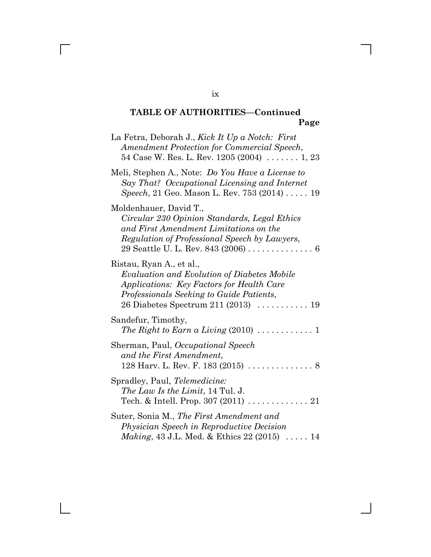| La Fetra, Deborah J., Kick It Up a Notch: First<br>Amendment Protection for Commercial Speech,<br>54 Case W. Res. L. Rev. $1205(2004)$ 1, 23                                                            |
|---------------------------------------------------------------------------------------------------------------------------------------------------------------------------------------------------------|
| Meli, Stephen A., Note: Do You Have a License to<br>Say That? Occupational Licensing and Internet<br>Speech, 21 Geo. Mason L. Rev. 753 (2014)  19                                                       |
| Moldenhauer, David T.,<br>Circular 230 Opinion Standards, Legal Ethics<br>and First Amendment Limitations on the<br>Regulation of Professional Speech by Lawyers,<br>29 Seattle U. L. Rev. 843 (2006) 6 |
| Ristau, Ryan A., et al.,<br>Evaluation and Evolution of Diabetes Mobile<br>Applications: Key Factors for Health Care<br>Professionals Seeking to Guide Patients,                                        |
| Sandefur, Timothy,                                                                                                                                                                                      |
| Sherman, Paul, Occupational Speech<br>and the First Amendment,<br>128 Harv. L. Rev. F. 183 (2015) $\ldots \ldots \ldots \ldots$ .                                                                       |
| Spradley, Paul, Telemedicine:<br><i>The Law Is the Limit, 14 Tul. J.</i>                                                                                                                                |
| Suter, Sonia M., The First Amendment and<br>Physician Speech in Reproductive Decision<br><i>Making</i> , 43 J.L. Med. & Ethics 22 (2015)  14                                                            |

ix

 $\overline{\Gamma}$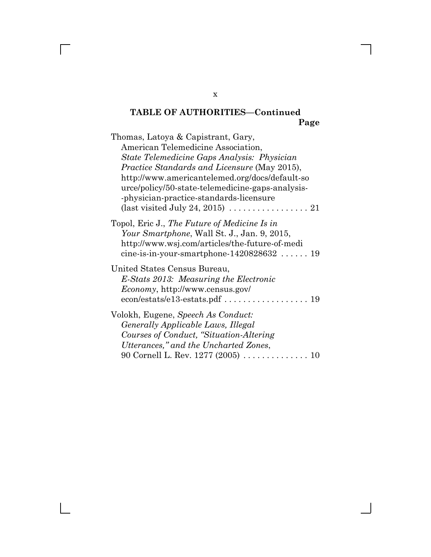| Thomas, Latoya & Capistrant, Gary,<br>American Telemedicine Association,<br>State Telemedicine Gaps Analysis: Physician<br><i>Practice Standards and Licensure</i> (May 2015),<br>http://www.americantelemed.org/docs/default-so<br>urce/policy/50-state-telemedicine-gaps-analysis-<br>-physician-practice-standards-licensure<br>(last visited July 24, 2015) $\ldots \ldots \ldots \ldots \ldots 21$ |
|---------------------------------------------------------------------------------------------------------------------------------------------------------------------------------------------------------------------------------------------------------------------------------------------------------------------------------------------------------------------------------------------------------|
| Topol, Eric J., The Future of Medicine Is in<br>Your Smartphone, Wall St. J., Jan. 9, 2015,<br>http://www.wsj.com/articles/the-future-of-medi<br>cine-is-in-your-smartphone- $1420828632$ 19                                                                                                                                                                                                            |
| United States Census Bureau,<br>E-Stats 2013: Measuring the Electronic<br><i>Economy</i> , http://www.census.gov/                                                                                                                                                                                                                                                                                       |
| Volokh, Eugene, Speech As Conduct:<br><i>Generally Applicable Laws, Illegal</i><br>Courses of Conduct, "Situation-Altering"<br>Utterances," and the Uncharted Zones,<br>90 Cornell L. Rev. 1277 (2005)  10                                                                                                                                                                                              |

x

 $\overline{\Gamma}$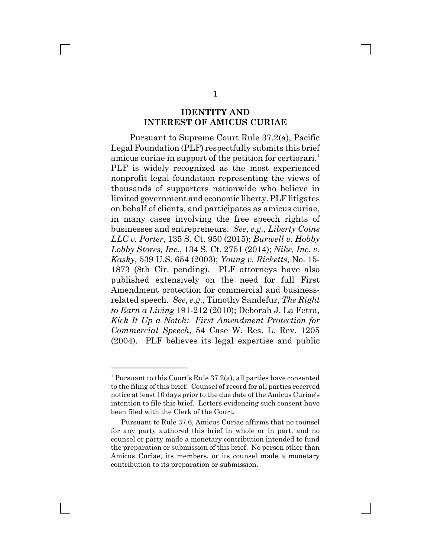#### **IDENTITY AND INTEREST OF AMICUS CURIAE**

Pursuant to Supreme Court Rule 37.2(a), Pacific Legal Foundation (PLF) respectfully submits this brief amicus curiae in support of the petition for certiorari.<sup>1</sup> PLF is widely recognized as the most experienced nonprofit legal foundation representing the views of thousands of supporters nationwide who believe in limited government and economic liberty. PLF litigates on behalf of clients, and participates as amicus curiae, in many cases involving the free speech rights of businesses and entrepreneurs. *See*, *e.g.*, *Liberty Coins LLC v. Porter*, 135 S. Ct. 950 (2015); *Burwell v. Hobby Lobby Stores, Inc.*, 134 S. Ct. 2751 (2014); *Nike, Inc. v. Kasky*, 539 U.S. 654 (2003); *Young v. Ricketts*, No. 15- 1873 (8th Cir. pending). PLF attorneys have also published extensively on the need for full First Amendment protection for commercial and businessrelated speech. *See*, *e.g.*, Timothy Sandefur, *The Right to Earn a Living* 191-212 (2010); Deborah J. La Fetra, *Kick It Up a Notch: First Amendment Protection for Commercial Speech*, 54 Case W. Res. L. Rev. 1205 (2004). PLF believes its legal expertise and public

<sup>&</sup>lt;sup>1</sup> Pursuant to this Court's Rule 37.2(a), all parties have consented to the filing of this brief. Counsel of record for all parties received notice at least 10 days prior to the due date of the Amicus Curiae's intention to file this brief. Letters evidencing such consent have been filed with the Clerk of the Court.

Pursuant to Rule 37.6, Amicus Curiae affirms that no counsel for any party authored this brief in whole or in part, and no counsel or party made a monetary contribution intended to fund the preparation or submission of this brief. No person other than Amicus Curiae, its members, or its counsel made a monetary contribution to its preparation or submission.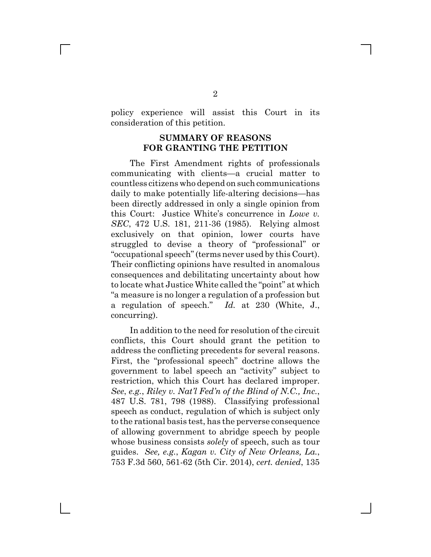policy experience will assist this Court in its consideration of this petition.

#### **SUMMARY OF REASONS FOR GRANTING THE PETITION**

The First Amendment rights of professionals communicating with clients—a crucial matter to countless citizens who depend on such communications daily to make potentially life-altering decisions—has been directly addressed in only a single opinion from this Court: Justice White's concurrence in *Lowe v. SEC*, 472 U.S. 181, 211-36 (1985). Relying almost exclusively on that opinion, lower courts have struggled to devise a theory of "professional" or "occupational speech" (terms never used by this Court). Their conflicting opinions have resulted in anomalous consequences and debilitating uncertainty about how to locate what Justice White called the "point" at which "a measure is no longer a regulation of a profession but a regulation of speech." *Id.* at 230 (White, J., concurring).

In addition to the need for resolution of the circuit conflicts, this Court should grant the petition to address the conflicting precedents for several reasons. First, the "professional speech" doctrine allows the government to label speech an "activity" subject to restriction, which this Court has declared improper. *See*, *e.g.*, *Riley v. Nat'l Fed'n of the Blind of N.C., Inc.*, 487 U.S. 781, 798 (1988). Classifying professional speech as conduct, regulation of which is subject only to the rational basis test, has the perverse consequence of allowing government to abridge speech by people whose business consists *solely* of speech, such as tour guides. *See, e.g.*, *Kagan v. City of New Orleans, La.*, 753 F.3d 560, 561-62 (5th Cir. 2014), *cert. denied*, 135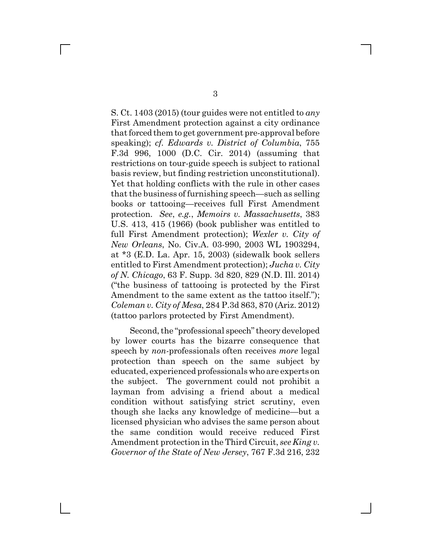S. Ct. 1403 (2015) (tour guides were not entitled to *any* First Amendment protection against a city ordinance that forced them to get government pre-approval before speaking); *cf. Edwards v. District of Columbia*, 755 F.3d 996, 1000 (D.C. Cir. 2014) (assuming that restrictions on tour-guide speech is subject to rational basis review, but finding restriction unconstitutional). Yet that holding conflicts with the rule in other cases that the business of furnishing speech—such as selling books or tattooing—receives full First Amendment protection. *See*, *e.g.*, *Memoirs v. Massachusetts*, 383 U.S. 413, 415 (1966) (book publisher was entitled to full First Amendment protection); *Wexler v. City of New Orleans*, No. Civ.A. 03-990, 2003 WL 1903294, at \*3 (E.D. La. Apr. 15, 2003) (sidewalk book sellers entitled to First Amendment protection); *Jucha v. City of N. Chicago*, 63 F. Supp. 3d 820, 829 (N.D. Ill. 2014) ("the business of tattooing is protected by the First Amendment to the same extent as the tattoo itself."); *Coleman v. City of Mesa*, 284 P.3d 863, 870 (Ariz. 2012) (tattoo parlors protected by First Amendment).

Second, the "professional speech" theory developed by lower courts has the bizarre consequence that speech by *non-*professionals often receives *more* legal protection than speech on the same subject by educated, experienced professionals who are experts on the subject. The government could not prohibit a layman from advising a friend about a medical condition without satisfying strict scrutiny, even though she lacks any knowledge of medicine—but a licensed physician who advises the same person about the same condition would receive reduced First Amendment protection in the Third Circuit, *see King v. Governor of the State of New Jersey*, 767 F.3d 216, 232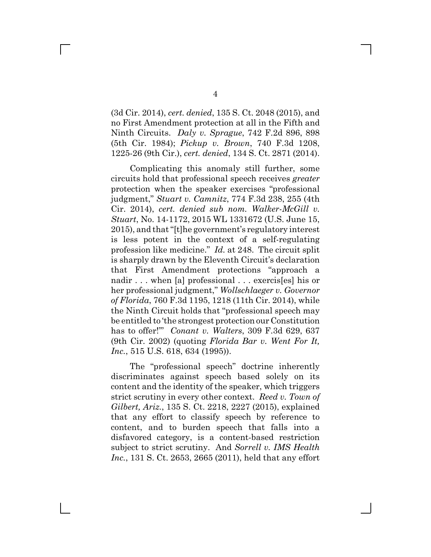(3d Cir. 2014), *cert. denied*, 135 S. Ct. 2048 (2015), and no First Amendment protection at all in the Fifth and Ninth Circuits. *Daly v. Sprague*, 742 F.2d 896, 898 (5th Cir. 1984); *Pickup v. Brown*, 740 F.3d 1208, 1225-26 (9th Cir.), *cert. denied*, 134 S. Ct. 2871 (2014).

Complicating this anomaly still further, some circuits hold that professional speech receives *greater* protection when the speaker exercises "professional judgment," *Stuart v. Camnitz*, 774 F.3d 238, 255 (4th Cir. 2014), *cert. denied sub nom. Walker-McGill v. Stuart*, No. 14-1172, 2015 WL 1331672 (U.S. June 15, 2015), and that "[t]he government's regulatory interest is less potent in the context of a self-regulating profession like medicine." *Id.* at 248. The circuit split is sharply drawn by the Eleventh Circuit's declaration that First Amendment protections "approach a nadir . . . when [a] professional . . . exercis[es] his or her professional judgment," *Wollschlaeger v. Governor of Florida*, 760 F.3d 1195, 1218 (11th Cir. 2014), while the Ninth Circuit holds that "professional speech may be entitled to 'the strongest protection our Constitution has to offer!'" *Conant v. Walters*, 309 F.3d 629, 637 (9th Cir. 2002) (quoting *Florida Bar v. Went For It, Inc.*, 515 U.S. 618, 634 (1995)).

The "professional speech" doctrine inherently discriminates against speech based solely on its content and the identity of the speaker, which triggers strict scrutiny in every other context. *Reed v. Town of Gilbert, Ariz.*, 135 S. Ct. 2218, 2227 (2015), explained that any effort to classify speech by reference to content, and to burden speech that falls into a disfavored category, is a content-based restriction subject to strict scrutiny. And *Sorrell v. IMS Health Inc.*, 131 S. Ct. 2653, 2665 (2011), held that any effort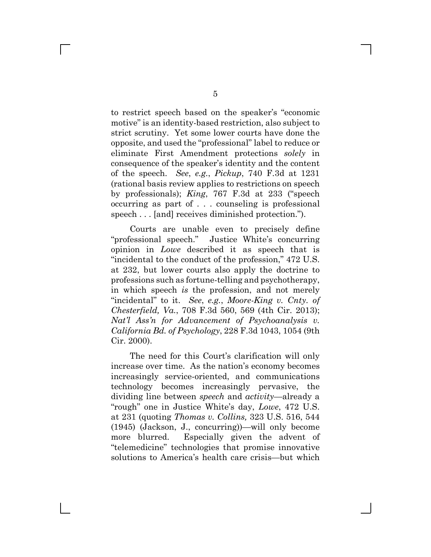to restrict speech based on the speaker's "economic motive" is an identity-based restriction, also subject to strict scrutiny. Yet some lower courts have done the opposite, and used the "professional" label to reduce or eliminate First Amendment protections *solely* in consequence of the speaker's identity and the content of the speech. *See*, *e.g.*, *Pickup*, 740 F.3d at 1231 (rational basis review applies to restrictions on speech by professionals); *King*, 767 F.3d at 233 ("speech occurring as part of . . . counseling is professional speech . . . [and] receives diminished protection.").

Courts are unable even to precisely define "professional speech." Justice White's concurring opinion in *Lowe* described it as speech that is "incidental to the conduct of the profession," 472 U.S. at 232, but lower courts also apply the doctrine to professions such as fortune-telling and psychotherapy, in which speech *is* the profession, and not merely "incidental" to it. *See*, *e.g.*, *Moore-King v. Cnty. of Chesterfield, Va.*, 708 F.3d 560, 569 (4th Cir. 2013); *Nat'l Ass'n for Advancement of Psychoanalysis v. California Bd. of Psychology*, 228 F.3d 1043, 1054 (9th Cir. 2000).

The need for this Court's clarification will only increase over time. As the nation's economy becomes increasingly service-oriented, and communications technology becomes increasingly pervasive, the dividing line between *speech* and *activity*—already a "rough" one in Justice White's day, *Lowe*, 472 U.S. at 231 (quoting *Thomas v. Collins,* 323 U.S. 516, 544 (1945) (Jackson, J., concurring))—will only become more blurred. Especially given the advent of "telemedicine" technologies that promise innovative solutions to America's health care crisis—but which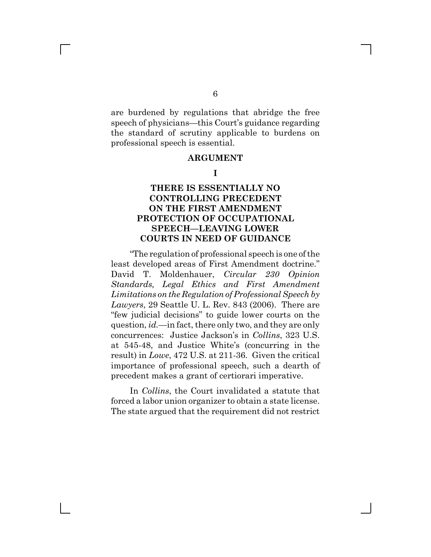are burdened by regulations that abridge the free speech of physicians—this Court's guidance regarding the standard of scrutiny applicable to burdens on professional speech is essential.

#### **ARGUMENT**

#### **I**

### **THERE IS ESSENTIALLY NO CONTROLLING PRECEDENT ON THE FIRST AMENDMENT PROTECTION OF OCCUPATIONAL SPEECH—LEAVING LOWER COURTS IN NEED OF GUIDANCE**

"The regulation of professional speech is one of the least developed areas of First Amendment doctrine." David T. Moldenhauer, *Circular 230 Opinion Standards, Legal Ethics and First Amendment Limitations on the Regulation of Professional Speech by Lawyers*, 29 Seattle U. L. Rev. 843 (2006). There are "few judicial decisions" to guide lower courts on the question, *id.*—in fact, there only two, and they are only concurrences: Justice Jackson's in *Collins*, 323 U.S. at 545-48, and Justice White's (concurring in the result) in *Lowe*, 472 U.S. at 211-36. Given the critical importance of professional speech, such a dearth of precedent makes a grant of certiorari imperative.

In *Collins*, the Court invalidated a statute that forced a labor union organizer to obtain a state license. The state argued that the requirement did not restrict

 $\mathbb{R}^n$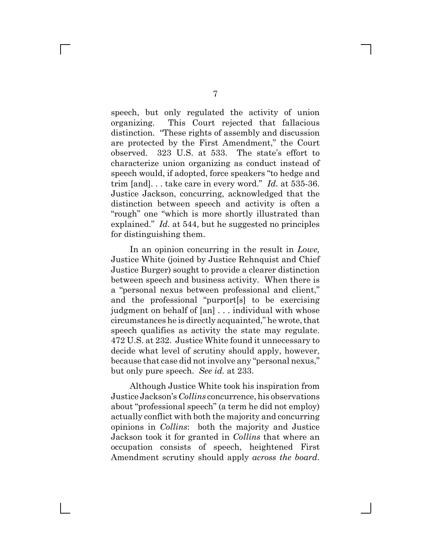speech, but only regulated the activity of union organizing. This Court rejected that fallacious distinction. "These rights of assembly and discussion are protected by the First Amendment," the Court observed. 323 U.S. at 533. The state's effort to characterize union organizing as conduct instead of speech would, if adopted, force speakers "to hedge and trim [and]. . . take care in every word." *Id.* at 535-36. Justice Jackson, concurring, acknowledged that the distinction between speech and activity is often a "rough" one "which is more shortly illustrated than explained." *Id.* at 544, but he suggested no principles for distinguishing them.

In an opinion concurring in the result in *Lowe,* Justice White (joined by Justice Rehnquist and Chief Justice Burger) sought to provide a clearer distinction between speech and business activity. When there is a "personal nexus between professional and client," and the professional "purport[s] to be exercising judgment on behalf of [an] . . . individual with whose circumstances he is directly acquainted," he wrote, that speech qualifies as activity the state may regulate. 472 U.S. at 232. Justice White found it unnecessary to decide what level of scrutiny should apply, however, because that case did not involve any "personal nexus," but only pure speech. *See id.* at 233.

Although Justice White took his inspiration from Justice Jackson's *Collins* concurrence, his observations about "professional speech" (a term he did not employ) actually conflict with both the majority and concurring opinions in *Collins*: both the majority and Justice Jackson took it for granted in *Collins* that where an occupation consists of speech, heightened First Amendment scrutiny should apply *across the board*.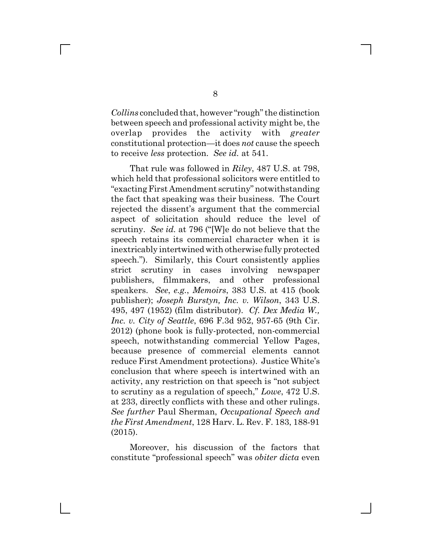*Collins* concluded that, however "rough" the distinction between speech and professional activity might be, the overlap provides the activity with *greater* constitutional protection—it does *not* cause the speech to receive *less* protection. *See id.* at 541.

That rule was followed in *Riley*, 487 U.S. at 798, which held that professional solicitors were entitled to "exacting First Amendment scrutiny" notwithstanding the fact that speaking was their business. The Court rejected the dissent's argument that the commercial aspect of solicitation should reduce the level of scrutiny. *See id.* at 796 ("[W]e do not believe that the speech retains its commercial character when it is inextricably intertwined with otherwise fully protected speech."). Similarly, this Court consistently applies strict scrutiny in cases involving newspaper publishers, filmmakers, and other professional speakers. *See*, *e.g.*, *Memoirs*, 383 U.S. at 415 (book publisher); *Joseph Burstyn, Inc. v. Wilson*, 343 U.S. 495, 497 (1952) (film distributor). *Cf. Dex Media W., Inc. v. City of Seattle*, 696 F.3d 952, 957-65 (9th Cir. 2012) (phone book is fully-protected, non-commercial speech, notwithstanding commercial Yellow Pages, because presence of commercial elements cannot reduce First Amendment protections). Justice White's conclusion that where speech is intertwined with an activity, any restriction on that speech is "not subject to scrutiny as a regulation of speech," *Lowe*, 472 U.S. at 233, directly conflicts with these and other rulings. *See further* Paul Sherman, *Occupational Speech and the First Amendment*, 128 Harv. L. Rev. F. 183, 188-91 (2015).

Moreover, his discussion of the factors that constitute "professional speech" was *obiter dicta* even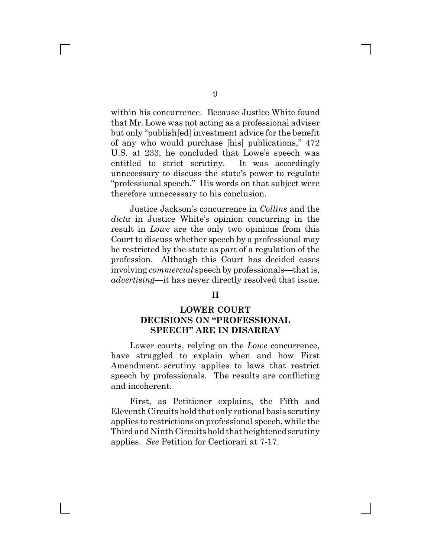within his concurrence. Because Justice White found that Mr. Lowe was not acting as a professional adviser but only "publish[ed] investment advice for the benefit of any who would purchase [his] publications," 472 U.S. at 233, he concluded that Lowe's speech was entitled to strict scrutiny. It was accordingly unnecessary to discuss the state's power to regulate "professional speech." His words on that subject were therefore unnecessary to his conclusion.

Justice Jackson's concurrence in *Collins* and the *dicta* in Justice White's opinion concurring in the result in *Lowe* are the only two opinions from this Court to discuss whether speech by a professional may be restricted by the state as part of a regulation of the profession. Although this Court has decided cases involving *commercial* speech by professionals—that is, *advertising*—it has never directly resolved that issue.

#### **II**

### **LOWER COURT DECISIONS ON "PROFESSIONAL SPEECH" ARE IN DISARRAY**

Lower courts, relying on the *Lowe* concurrence, have struggled to explain when and how First Amendment scrutiny applies to laws that restrict speech by professionals. The results are conflicting and incoherent.

First, as Petitioner explains, the Fifth and Eleventh Circuits hold that only rational basis scrutiny applies to restrictions on professional speech, while the Third and Ninth Circuits hold that heightened scrutiny applies. *See* Petition for Certiorari at 7-17.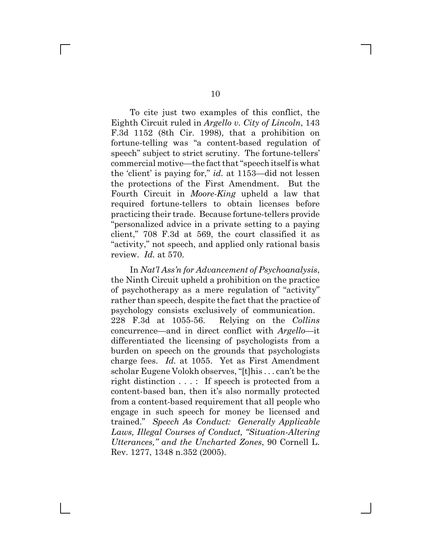To cite just two examples of this conflict, the Eighth Circuit ruled in *Argello v. City of Lincoln*, 143 F.3d 1152 (8th Cir. 1998), that a prohibition on fortune-telling was "a content-based regulation of speech" subject to strict scrutiny. The fortune-tellers' commercial motive—the fact that "speech itself is what the 'client' is paying for," *id.* at 1153—did not lessen the protections of the First Amendment. But the Fourth Circuit in *Moore-King* upheld a law that required fortune-tellers to obtain licenses before practicing their trade. Because fortune-tellers provide "personalized advice in a private setting to a paying client," 708 F.3d at 569, the court classified it as "activity," not speech, and applied only rational basis review. *Id.* at 570.

In *Nat'l Ass'n for Advancement of Psychoanalysis*, the Ninth Circuit upheld a prohibition on the practice of psychotherapy as a mere regulation of "activity" rather than speech, despite the fact that the practice of psychology consists exclusively of communication. 228 F.3d at 1055-56. Relying on the *Collins* concurrence—and in direct conflict with *Argello*—it differentiated the licensing of psychologists from a burden on speech on the grounds that psychologists charge fees. *Id.* at 1055. Yet as First Amendment scholar Eugene Volokh observes, "[t]his . . . can't be the right distinction . . . : If speech is protected from a content-based ban, then it's also normally protected from a content-based requirement that all people who engage in such speech for money be licensed and trained." *Speech As Conduct: Generally Applicable Laws, Illegal Courses of Conduct, "Situation-Altering Utterances," and the Uncharted Zones*, 90 Cornell L. Rev. 1277, 1348 n.352 (2005).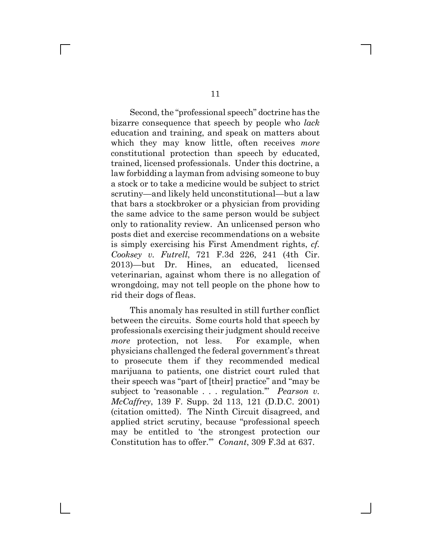Second, the "professional speech" doctrine has the bizarre consequence that speech by people who *lack* education and training, and speak on matters about which they may know little, often receives *more* constitutional protection than speech by educated, trained, licensed professionals. Under this doctrine, a law forbidding a layman from advising someone to buy a stock or to take a medicine would be subject to strict scrutiny—and likely held unconstitutional—but a law that bars a stockbroker or a physician from providing the same advice to the same person would be subject only to rationality review. An unlicensed person who posts diet and exercise recommendations on a website is simply exercising his First Amendment rights, *cf. Cooksey v. Futrell*, 721 F.3d 226, 241 (4th Cir. 2013)—but Dr. Hines, an educated, licensed veterinarian, against whom there is no allegation of wrongdoing, may not tell people on the phone how to rid their dogs of fleas.

This anomaly has resulted in still further conflict between the circuits. Some courts hold that speech by professionals exercising their judgment should receive *more* protection, not less. For example, when physicians challenged the federal government's threat to prosecute them if they recommended medical marijuana to patients, one district court ruled that their speech was "part of [their] practice" and "may be subject to 'reasonable . . . regulation.'" *Pearson v. McCaffrey*, 139 F. Supp. 2d 113, 121 (D.D.C. 2001) (citation omitted). The Ninth Circuit disagreed, and applied strict scrutiny, because "professional speech may be entitled to 'the strongest protection our Constitution has to offer.'" *Conant*, 309 F.3d at 637.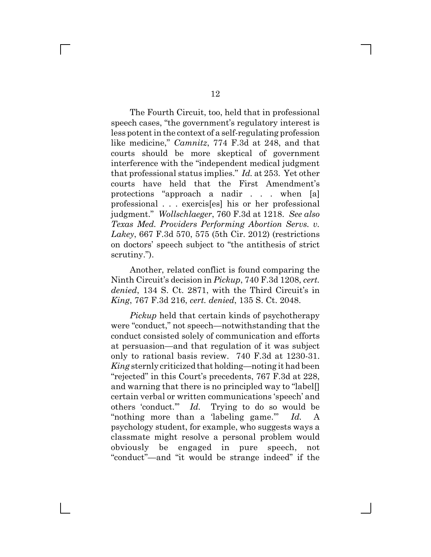The Fourth Circuit, too, held that in professional speech cases, "the government's regulatory interest is less potent in the context of a self-regulating profession like medicine," *Camnitz*, 774 F.3d at 248, and that courts should be more skeptical of government interference with the "independent medical judgment that professional status implies." *Id.* at 253. Yet other courts have held that the First Amendment's protections "approach a nadir . . . when [a] professional . . . exercis[es] his or her professional judgment." *Wollschlaeger*, 760 F.3d at 1218. *See also Texas Med. Providers Performing Abortion Servs. v. Lakey*, 667 F.3d 570, 575 (5th Cir. 2012) (restrictions on doctors' speech subject to "the antithesis of strict scrutiny.").

Another, related conflict is found comparing the Ninth Circuit's decision in *Pickup*, 740 F.3d 1208, *cert. denied*, 134 S. Ct. 2871, with the Third Circuit's in *King*, 767 F.3d 216, *cert. denied*, 135 S. Ct. 2048.

*Pickup* held that certain kinds of psychotherapy were "conduct," not speech—notwithstanding that the conduct consisted solely of communication and efforts at persuasion—and that regulation of it was subject only to rational basis review. 740 F.3d at 1230-31. *King* sternly criticized that holding—noting it had been "rejected" in this Court's precedents, 767 F.3d at 228, and warning that there is no principled way to "label[] certain verbal or written communications 'speech' and others 'conduct.'" *Id.* Trying to do so would be "nothing more than a 'labeling game.'" *Id.* A psychology student, for example, who suggests ways a classmate might resolve a personal problem would obviously be engaged in pure speech, not "conduct"—and "it would be strange indeed" if the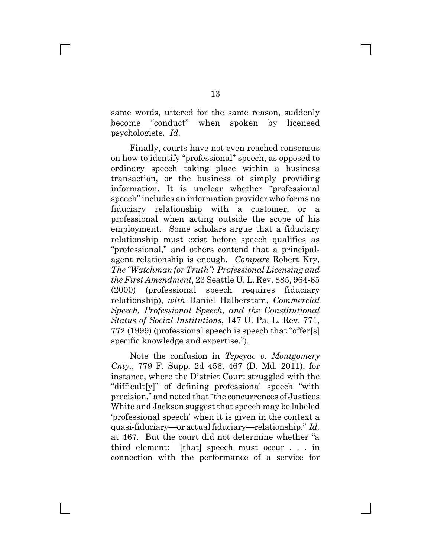same words, uttered for the same reason, suddenly become "conduct" when spoken by licensed psychologists. *Id.*

Finally, courts have not even reached consensus on how to identify "professional" speech, as opposed to ordinary speech taking place within a business transaction, or the business of simply providing information. It is unclear whether "professional speech" includes an information provider who forms no fiduciary relationship with a customer, or a professional when acting outside the scope of his employment. Some scholars argue that a fiduciary relationship must exist before speech qualifies as "professional," and others contend that a principalagent relationship is enough. *Compare* Robert Kry, *The "Watchman for Truth": Professional Licensing and the First Amendment*, 23 Seattle U. L. Rev. 885, 964-65 (2000) (professional speech requires fiduciary relationship), *with* Daniel Halberstam, *Commercial Speech, Professional Speech, and the Constitutional Status of Social Institutions*, 147 U. Pa. L. Rev. 771, 772 (1999) (professional speech is speech that "offer[s] specific knowledge and expertise.").

Note the confusion in *Tepeyac v. Montgomery Cnty.*, 779 F. Supp. 2d 456, 467 (D. Md. 2011), for instance, where the District Court struggled with the "difficult[y]" of defining professional speech "with precision," and noted that "the concurrences of Justices White and Jackson suggest that speech may be labeled 'professional speech' when it is given in the context a quasi-fiduciary—or actual fiduciary—relationship." *Id.* at 467. But the court did not determine whether "a third element: [that] speech must occur . . . in connection with the performance of a service for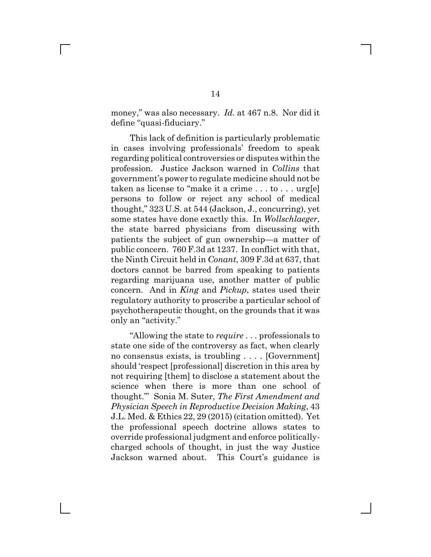money," was also necessary. *Id.* at 467 n.8. Nor did it define "quasi-fiduciary."

This lack of definition is particularly problematic in cases involving professionals' freedom to speak regarding political controversies or disputes within the profession. Justice Jackson warned in *Collins* that government's power to regulate medicine should not be taken as license to "make it a crime . . . to . . . urg[e] persons to follow or reject any school of medical thought," 323 U.S. at 544 (Jackson, J., concurring), yet some states have done exactly this. In *Wollschlaeger*, the state barred physicians from discussing with patients the subject of gun ownership—a matter of public concern. 760 F.3d at 1237. In conflict with that, the Ninth Circuit held in *Conant*, 309 F.3d at 637, that doctors cannot be barred from speaking to patients regarding marijuana use, another matter of public concern. And in *King* and *Pickup*, states used their regulatory authority to proscribe a particular school of psychotherapeutic thought, on the grounds that it was only an "activity."

"Allowing the state to *require* . . . professionals to state one side of the controversy as fact, when clearly no consensus exists, is troubling . . . . [Government] should 'respect [professional] discretion in this area by not requiring [them] to disclose a statement about the science when there is more than one school of thought.'" Sonia M. Suter, *The First Amendment and Physician Speech in Reproductive Decision Making*, 43 J.L. Med. & Ethics 22, 29 (2015) (citation omitted). Yet the professional speech doctrine allows states to override professional judgment and enforce politicallycharged schools of thought, in just the way Justice Jackson warned about. This Court's guidance is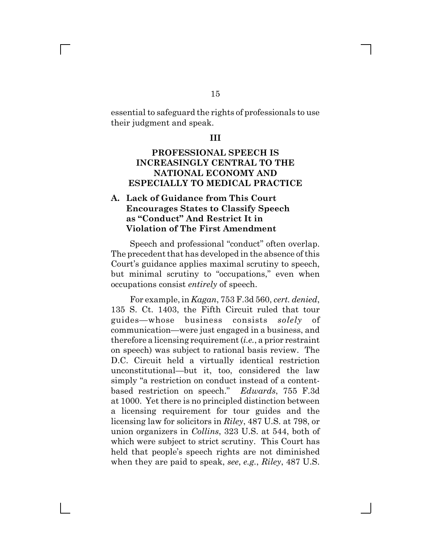essential to safeguard the rights of professionals to use their judgment and speak.

#### **III**

### **PROFESSIONAL SPEECH IS INCREASINGLY CENTRAL TO THE NATIONAL ECONOMY AND ESPECIALLY TO MEDICAL PRACTICE**

### **A. Lack of Guidance from This Court Encourages States to Classify Speech as "Conduct" And Restrict It in Violation of The First Amendment**

Speech and professional "conduct" often overlap. The precedent that has developed in the absence of this Court's guidance applies maximal scrutiny to speech, but minimal scrutiny to "occupations," even when occupations consist *entirely* of speech.

For example, in *Kagan*, 753 F.3d 560, *cert. denied*, 135 S. Ct. 1403, the Fifth Circuit ruled that tour guides—whose business consists *solely* of communication—were just engaged in a business, and therefore a licensing requirement (*i.e.*, a prior restraint on speech) was subject to rational basis review. The D.C. Circuit held a virtually identical restriction unconstitutional—but it, too, considered the law simply "a restriction on conduct instead of a contentbased restriction on speech." *Edwards*, 755 F.3d at 1000. Yet there is no principled distinction between a licensing requirement for tour guides and the licensing law for solicitors in *Riley*, 487 U.S. at 798, or union organizers in *Collins*, 323 U.S. at 544, both of which were subject to strict scrutiny. This Court has held that people's speech rights are not diminished when they are paid to speak, *see*, *e.g.*, *Riley*, 487 U.S.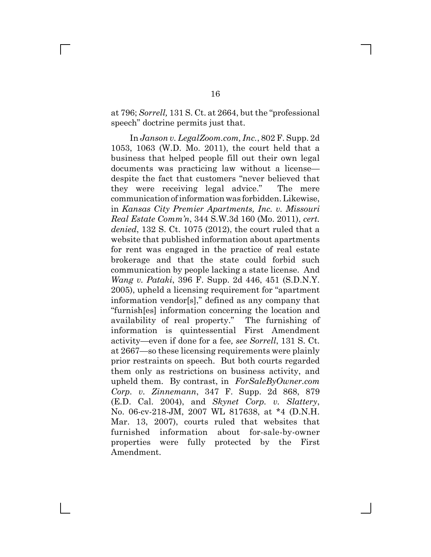at 796; *Sorrell,* 131 S. Ct. at 2664, but the "professional speech" doctrine permits just that.

In *Janson v. LegalZoom.com, Inc.*, 802 F. Supp. 2d 1053, 1063 (W.D. Mo. 2011), the court held that a business that helped people fill out their own legal documents was practicing law without a license despite the fact that customers "never believed that they were receiving legal advice." The mere communication of information was forbidden. Likewise, in *Kansas City Premier Apartments, Inc. v. Missouri Real Estate Comm'n*, 344 S.W.3d 160 (Mo. 2011), *cert. denied*, 132 S. Ct. 1075 (2012), the court ruled that a website that published information about apartments for rent was engaged in the practice of real estate brokerage and that the state could forbid such communication by people lacking a state license. And *Wang v. Pataki*, 396 F. Supp. 2d 446, 451 (S.D.N.Y. 2005), upheld a licensing requirement for "apartment information vendor[s]," defined as any company that "furnish[es] information concerning the location and availability of real property." The furnishing of information is quintessential First Amendment activity—even if done for a fee*, see Sorrell*, 131 S. Ct. at 2667—so these licensing requirements were plainly prior restraints on speech. But both courts regarded them only as restrictions on business activity, and upheld them. By contrast, in *ForSaleByOwner.com Corp. v. Zinnemann*, 347 F. Supp. 2d 868, 879 (E.D. Cal. 2004), and *Skynet Corp. v. Slattery*, No. 06-cv-218-JM, 2007 WL 817638, at \*4 (D.N.H. Mar. 13, 2007), courts ruled that websites that furnished information about for-sale-by-owner properties were fully protected by the First Amendment.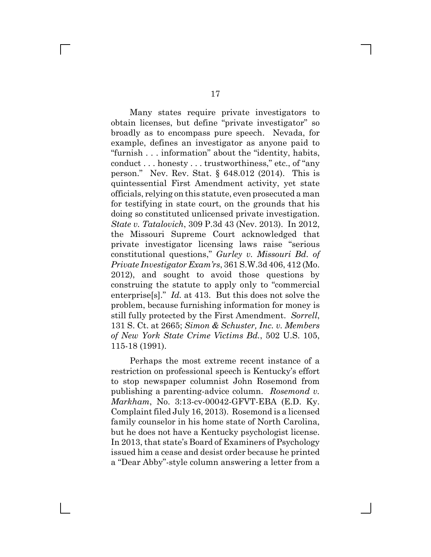Many states require private investigators to obtain licenses, but define "private investigator" so broadly as to encompass pure speech. Nevada, for example, defines an investigator as anyone paid to "furnish . . . information" about the "identity, habits, conduct . . . honesty . . . trustworthiness," etc., of "any person." Nev. Rev. Stat. § 648.012 (2014). This is quintessential First Amendment activity, yet state officials, relying on this statute, even prosecuted a man for testifying in state court, on the grounds that his doing so constituted unlicensed private investigation. *State v. Tatalovich*, 309 P.3d 43 (Nev. 2013). In 2012, the Missouri Supreme Court acknowledged that private investigator licensing laws raise "serious constitutional questions," *Gurley v. Missouri Bd. of Private Investigator Exam'rs*, 361 S.W.3d 406, 412 (Mo. 2012), and sought to avoid those questions by construing the statute to apply only to "commercial enterprise[s]." *Id.* at 413. But this does not solve the problem, because furnishing information for money is still fully protected by the First Amendment. *Sorrell*, 131 S. Ct. at 2665; *Simon & Schuster, Inc. v. Members of New York State Crime Victims Bd.*, 502 U.S. 105, 115-18 (1991).

Perhaps the most extreme recent instance of a restriction on professional speech is Kentucky's effort to stop newspaper columnist John Rosemond from publishing a parenting-advice column. *Rosemond v. Markham*, No. 3:13-cv-00042-GFVT-EBA (E.D. Ky. Complaint filed July 16, 2013). Rosemond is a licensed family counselor in his home state of North Carolina, but he does not have a Kentucky psychologist license. In 2013, that state's Board of Examiners of Psychology issued him a cease and desist order because he printed a "Dear Abby"-style column answering a letter from a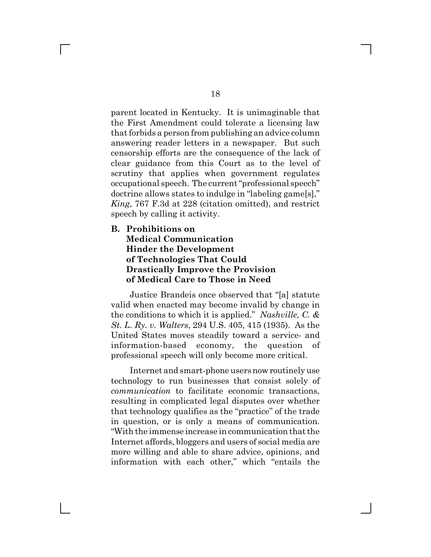parent located in Kentucky. It is unimaginable that the First Amendment could tolerate a licensing law that forbids a person from publishing an advice column answering reader letters in a newspaper. But such censorship efforts are the consequence of the lack of clear guidance from this Court as to the level of scrutiny that applies when government regulates occupational speech. The current "professional speech" doctrine allows states to indulge in "labeling game[s]," *King*, 767 F.3d at 228 (citation omitted), and restrict speech by calling it activity.

#### **B. Prohibitions on**

 $\mathbf{L}$ 

#### **Medical Communication Hinder the Development of Technologies That Could Drastically Improve the Provision of Medical Care to Those in Need**

Justice Brandeis once observed that "[a] statute valid when enacted may become invalid by change in the conditions to which it is applied." *Nashville, C. & St. L. Ry. v. Walters*, 294 U.S. 405, 415 (1935). As the United States moves steadily toward a service- and information-based economy, the question of professional speech will only become more critical.

Internet and smart-phone users now routinely use technology to run businesses that consist solely of *communication* to facilitate economic transactions, resulting in complicated legal disputes over whether that technology qualifies as the "practice" of the trade in question, or is only a means of communication. "With the immense increase in communication that the Internet affords, bloggers and users of social media are more willing and able to share advice, opinions, and information with each other," which "entails the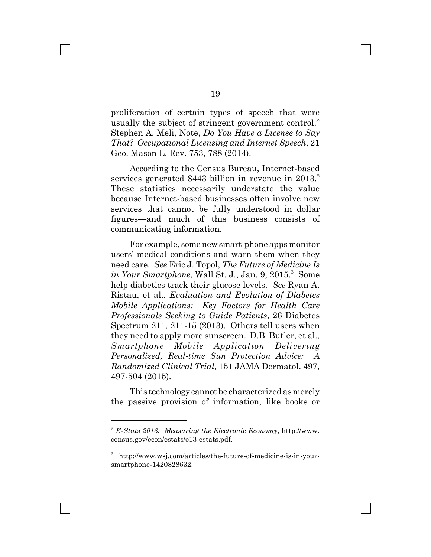proliferation of certain types of speech that were usually the subject of stringent government control." Stephen A. Meli, Note, *Do You Have a License to Say That? Occupational Licensing and Internet Speech*, 21 Geo. Mason L. Rev. 753, 788 (2014).

According to the Census Bureau, Internet-based services generated  $$443$  billion in revenue in  $2013.<sup>2</sup>$ These statistics necessarily understate the value because Internet-based businesses often involve new services that cannot be fully understood in dollar figures—and much of this business consists of communicating information.

For example, some new smart-phone apps monitor users' medical conditions and warn them when they need care. *See* Eric J. Topol, *The Future of Medicine Is* in Your Smartphone, Wall St. J., Jan. 9, 2015.<sup>3</sup> Some help diabetics track their glucose levels. *See* Ryan A. Ristau, et al., *Evaluation and Evolution of Diabetes Mobile Applications: Key Factors for Health Care Professionals Seeking to Guide Patients*, 26 Diabetes Spectrum 211, 211-15 (2013). Others tell users when they need to apply more sunscreen. D.B. Butler, et al., *Smartphone Mobile Application Delivering Personalized, Real-time Sun Protection Advice: A Randomized Clinical Trial*, 151 JAMA Dermatol. 497, 497-504 (2015).

This technology cannot be characterized as merely the passive provision of information, like books or

<sup>2</sup> *E-Stats 2013: Measuring the Electronic Economy*, http://www. census.gov/econ/estats/e13-estats.pdf.

<sup>3</sup> http://www.wsj.com/articles/the-future-of-medicine-is-in-yoursmartphone-1420828632.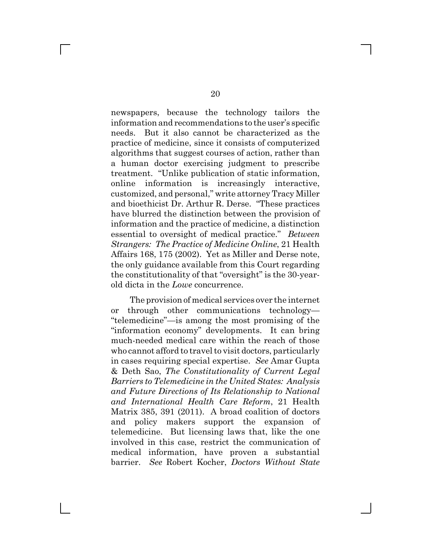newspapers, because the technology tailors the information and recommendations to the user's specific needs. But it also cannot be characterized as the practice of medicine, since it consists of computerized algorithms that suggest courses of action, rather than a human doctor exercising judgment to prescribe treatment. "Unlike publication of static information, online information is increasingly interactive, customized, and personal," write attorney Tracy Miller and bioethicist Dr. Arthur R. Derse. "These practices have blurred the distinction between the provision of information and the practice of medicine, a distinction essential to oversight of medical practice." *Between Strangers: The Practice of Medicine Online*, 21 Health Affairs 168, 175 (2002). Yet as Miller and Derse note, the only guidance available from this Court regarding the constitutionality of that "oversight" is the 30-yearold dicta in the *Lowe* concurrence.

The provision of medical services over the internet or through other communications technology— "telemedicine"—is among the most promising of the "information economy" developments. It can bring much-needed medical care within the reach of those who cannot afford to travel to visit doctors, particularly in cases requiring special expertise. *See* Amar Gupta & Deth Sao, *The Constitutionality of Current Legal Barriers to Telemedicine in the United States: Analysis and Future Directions of Its Relationship to National and International Health Care Reform*, 21 Health Matrix 385, 391 (2011). A broad coalition of doctors and policy makers support the expansion of telemedicine. But licensing laws that, like the one involved in this case, restrict the communication of medical information, have proven a substantial barrier. *See* Robert Kocher, *Doctors Without State*

 $\Box$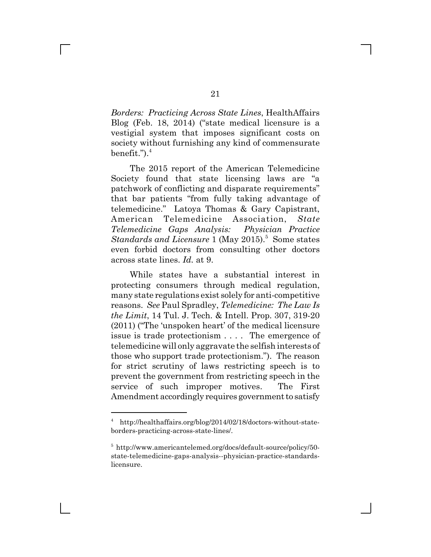*Borders: Practicing Across State Lines*, HealthAffairs Blog (Feb. 18, 2014) ("state medical licensure is a vestigial system that imposes significant costs on society without furnishing any kind of commensurate benefit."). $^4$ 

The 2015 report of the American Telemedicine Society found that state licensing laws are "a patchwork of conflicting and disparate requirements" that bar patients "from fully taking advantage of telemedicine." Latoya Thomas & Gary Capistrant, American Telemedicine Association, *State Telemedicine Gaps Analysis: Physician Practice* Standards and Licensure 1 (May 2015).<sup>5</sup> Some states even forbid doctors from consulting other doctors across state lines. *Id.* at 9.

While states have a substantial interest in protecting consumers through medical regulation, many state regulations exist solely for anti-competitive reasons. *See* Paul Spradley, *Telemedicine: The Law Is the Limit*, 14 Tul. J. Tech. & Intell. Prop. 307, 319-20 (2011) ("The 'unspoken heart' of the medical licensure issue is trade protectionism . . . . The emergence of telemedicine will only aggravate the selfish interests of those who support trade protectionism."). The reason for strict scrutiny of laws restricting speech is to prevent the government from restricting speech in the service of such improper motives. The First Amendment accordingly requires government to satisfy

<sup>4</sup> http://healthaffairs.org/blog/2014/02/18/doctors-without-stateborders-practicing-across-state-lines/.

<sup>5</sup> http://www.americantelemed.org/docs/default-source/policy/50 state-telemedicine-gaps-analysis--physician-practice-standardslicensure.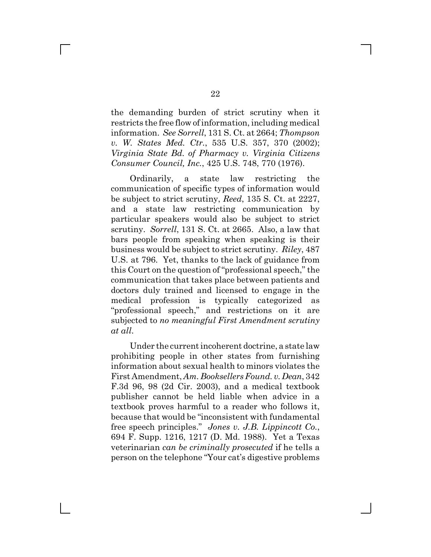the demanding burden of strict scrutiny when it restricts the free flow of information, including medical information. *See Sorrell*, 131 S. Ct. at 2664; *Thompson v. W. States Med. Ctr.*, 535 U.S. 357, 370 (2002); *Virginia State Bd. of Pharmacy v. Virginia Citizens Consumer Council, Inc.*, 425 U.S. 748, 770 (1976).

Ordinarily, a state law restricting the communication of specific types of information would be subject to strict scrutiny, *Reed*, 135 S. Ct. at 2227, and a state law restricting communication by particular speakers would also be subject to strict scrutiny. *Sorrell*, 131 S. Ct. at 2665. Also, a law that bars people from speaking when speaking is their business would be subject to strict scrutiny. *Riley*, 487 U.S. at 796. Yet, thanks to the lack of guidance from this Court on the question of "professional speech," the communication that takes place between patients and doctors duly trained and licensed to engage in the medical profession is typically categorized as "professional speech," and restrictions on it are subjected to *no meaningful First Amendment scrutiny at all*.

Under the current incoherent doctrine, a state law prohibiting people in other states from furnishing information about sexual health to minors violates the First Amendment, *Am. Booksellers Found. v. Dean*, 342 F.3d 96, 98 (2d Cir. 2003), and a medical textbook publisher cannot be held liable when advice in a textbook proves harmful to a reader who follows it, because that would be "inconsistent with fundamental free speech principles." *Jones v. J.B. Lippincott Co.*, 694 F. Supp. 1216, 1217 (D. Md. 1988). Yet a Texas veterinarian *can be criminally prosecuted* if he tells a person on the telephone "Your cat's digestive problems

 $\mathbb{R}^n$